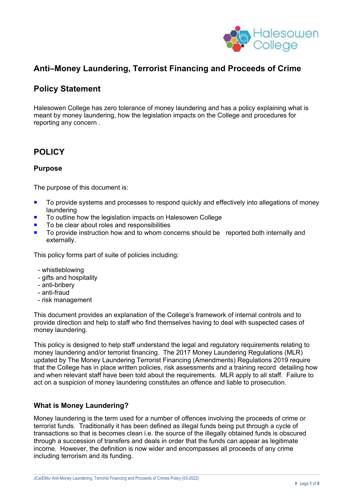

# **Anti–Money Laundering, Terrorist Financing and Proceeds of Crime**

## **Policy Statement**

Halesowen College has zero tolerance of money laundering and has a policy explaining what is meant by money laundering, how the legislation impacts on the College and procedures for reporting any concern .

## **POLICY**

#### **Purpose**

The purpose of this document is:

- To provide systems and processes to respond quickly and effectively into allegations of money laundering
- To outline how the legislation impacts on Halesowen College
- To be clear about roles and responsibilities
- To provide instruction how and to whom concerns should be reported both internally and externally.

This policy forms part of suite of policies including:

- whistleblowing
- gifts and hospitality
- anti-bribery
- anti-fraud
- risk management

This document provides an explanation of the College's framework of internal controls and to provide direction and help to staff who find themselves having to deal with suspected cases of money laundering.

This policy is designed to help staff understand the legal and regulatory requirements relating to money laundering and/or terrorist financing. The 2017 Money Laundering Regulations (MLR) updated by The Money Laundering Terrorist Financing (Amendments) Regulations 2019 require that the College has in place written policies, risk assessments and a training record detailing how and when relevant staff have been told about the requirements. MLR apply to all staff. Failure to act on a suspicion of money laundering constitutes an offence and liable to prosecution.

#### **What is Money Laundering?**

Money laundering is the term used for a number of offences involving the proceeds of crime or terrorist funds. Traditionally it has been defined as illegal funds being put through a cycle of transactions so that is becomes clean i.e. the source of the illegally obtained funds is obscured through a succession of transfers and deals in order that the funds can appear as legitimate income. However, the definition is now wider and encompasses all proceeds of any crime including terrorism and its funding.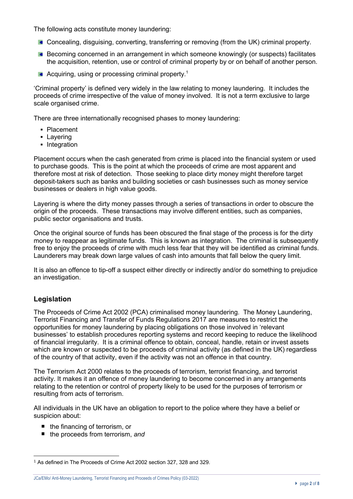The following acts constitute money laundering:

- **Concealing, disguising, converting, transferring or removing (from the UK) criminal property.**
- **Becoming concerned in an arrangement in which someone knowingly (or suspects) facilitates** the acquisition, retention, use or control of criminal property by or on behalf of another person.
- Acquiring, using or processing criminal property.<sup>1</sup>

'Criminal property' is defined very widely in the law relating to money laundering. It includes the proceeds of crime irrespective of the value of money involved. It is not a term exclusive to large scale organised crime.

There are three internationally recognised phases to money laundering:

- § Placement
- § Layering
- Integration

Placement occurs when the cash generated from crime is placed into the financial system or used to purchase goods. This is the point at which the proceeds of crime are most apparent and therefore most at risk of detection. Those seeking to place dirty money might therefore target deposit-takers such as banks and building societies or cash businesses such as money service businesses or dealers in high value goods.

Layering is where the dirty money passes through a series of transactions in order to obscure the origin of the proceeds. These transactions may involve different entities, such as companies, public sector organisations and trusts.

Once the original source of funds has been obscured the final stage of the process is for the dirty money to reappear as legitimate funds. This is known as integration. The criminal is subsequently free to enjoy the proceeds of crime with much less fear that they will be identified as criminal funds. Launderers may break down large values of cash into amounts that fall below the query limit.

It is also an offence to tip-off a suspect either directly or indirectly and/or do something to prejudice an investigation.

#### **Legislation**

The Proceeds of Crime Act 2002 (PCA) criminalised money laundering. The Money Laundering, Terrorist Financing and Transfer of Funds Regulations 2017 are measures to restrict the opportunities for money laundering by placing obligations on those involved in 'relevant businesses' to establish procedures reporting systems and record keeping to reduce the likelihood of financial irregularity. It is a criminal offence to obtain, conceal, handle, retain or invest assets which are known or suspected to be proceeds of criminal activity (as defined in the UK) regardless of the country of that activity, even if the activity was not an offence in that country.

The Terrorism Act 2000 relates to the proceeds of terrorism, terrorist financing, and terrorist activity. It makes it an offence of money laundering to become concerned in any arrangements relating to the retention or control of property likely to be used for the purposes of terrorism or resulting from acts of terrorism.

All individuals in the UK have an obligation to report to the police where they have a belief or suspicion about:

- $\blacksquare$  the financing of terrorism, or
- the proceeds from terrorism, and

<sup>&</sup>lt;sup>1</sup> As defined in The Proceeds of Crime Act 2002 section 327, 328 and 329.

JCa/EMo/ Anti-Money Laundering, Terrorist Financing and Proceeds of Crimes Policy (03-2022)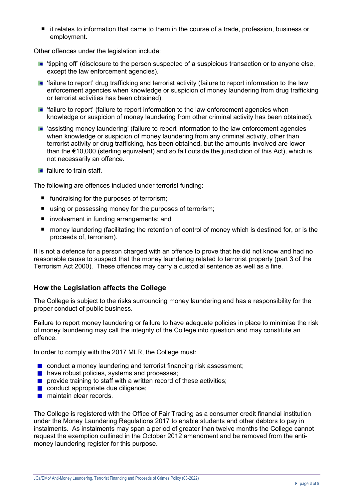■ it relates to information that came to them in the course of a trade, profession, business or employment.

Other offences under the legislation include:

- 'tipping off' (disclosure to the person suspected of a suspicious transaction or to anyone else, except the law enforcement agencies).
- 'failure to report' drug trafficking and terrorist activity (failure to report information to the law enforcement agencies when knowledge or suspicion of money laundering from drug trafficking or terrorist activities has been obtained).
- 'failure to report' (failure to report information to the law enforcement agencies when knowledge or suspicion of money laundering from other criminal activity has been obtained).
- 'assisting money laundering' (failure to report information to the law enforcement agencies when knowledge or suspicion of money laundering from any criminal activity, other than terrorist activity or drug trafficking, has been obtained, but the amounts involved are lower than the €10,000 (sterling equivalent) and so fall outside the jurisdiction of this Act), which is not necessarily an offence.
- $\blacksquare$  failure to train staff.

The following are offences included under terrorist funding:

- $\blacksquare$  fundraising for the purposes of terrorism:
- using or possessing money for the purposes of terrorism;
- involvement in funding arrangements; and
- money laundering (facilitating the retention of control of money which is destined for, or is the proceeds of, terrorism).

It is not a defence for a person charged with an offence to prove that he did not know and had no reasonable cause to suspect that the money laundering related to terrorist property (part 3 of the Terrorism Act 2000). These offences may carry a custodial sentence as well as a fine.

#### **How the Legislation affects the College**

The College is subject to the risks surrounding money laundering and has a responsibility for the proper conduct of public business.

Failure to report money laundering or failure to have adequate policies in place to minimise the risk of money laundering may call the integrity of the College into question and may constitute an offence.

In order to comply with the 2017 MLR, the College must:

- **Conduct a money laundering and terrorist financing risk assessment:**
- $\blacksquare$  have robust policies, systems and processes;
- **P** provide training to staff with a written record of these activities:
- conduct appropriate due diligence;
- **n** maintain clear records

The College is registered with the Office of Fair Trading as a consumer credit financial institution under the Money Laundering Regulations 2017 to enable students and other debtors to pay in instalments. As instalments may span a period of greater than twelve months the College cannot request the exemption outlined in the October 2012 amendment and be removed from the antimoney laundering register for this purpose.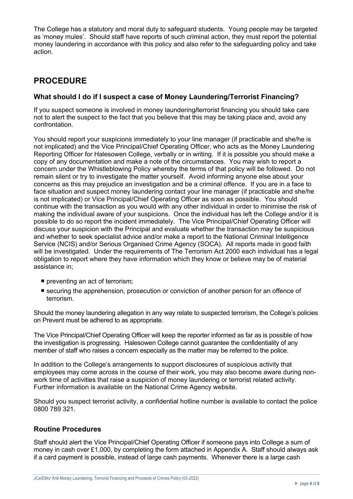The College has a statutory and moral duty to safeguard students. Young people may be targeted as 'money mules'. Should staff have reports of such criminal action, they must report the potential money laundering in accordance with this policy and also refer to the safeguarding policy and take action.

# **PROCEDURE**

#### **What should I do if I suspect a case of Money Laundering/Terrorist Financing?**

If you suspect someone is involved in money laundering**/**terrorist financing you should take care not to alert the suspect to the fact that you believe that this may be taking place and, avoid any confrontation.

You should report your suspicions immediately to your line manager (if practicable and she/he is not implicated) and the Vice Principal/Chief Operating Officer, who acts as the Money Laundering Reporting Officer for Halesowen College, verbally or in writing. If it is possible you should make a copy of any documentation and make a note of the circumstances. You may wish to report a concern under the Whistleblowing Policy whereby the terms of that policy will be followed. Do not remain silent or try to investigate the matter yourself. Avoid informing anyone else about your concerns as this may prejudice an investigation and be a criminal offence. If you are in a face to face situation and suspect money laundering contact your line manager (if practicable and she/he is not implicated) or Vice Principal/Chief Operating Officer as soon as possible. You should continue with the transaction as you would with any other individual in order to minimise the risk of making the individual aware of your suspicions. Once the individual has left the College and/or it is possible to do so report the incident immediately. The Vice Principal/Chief Operating Officer will discuss your suspicion with the Principal and evaluate whether the transaction may be suspicious and whether to seek specialist advice and/or make a report to the National Criminal Intelligence Service (NCIS) and/or Serious Organised Crime Agency (SOCA). All reports made in good faith will be investigated. Under the requirements of The Terrorism Act 2000 each individual has a legal obligation to report where they have information which they know or believe may be of material assistance in;

- **preventing an act of terrorism;**
- securing the apprehension, prosecution or conviction of another person for an offence of terrorism.

Should the money laundering allegation in any way relate to suspected terrorism, the College's policies on Prevent must be adhered to as appropriate.

The Vice Principal/Chief Operating Officer will keep the reporter informed as far as is possible of how the investigation is progressing. Halesowen College cannot guarantee the confidentiality of any member of staff who raises a concern especially as the matter may be referred to the police.

In addition to the College's arrangements to support disclosures of suspicious activity that employees may come across in the course of their work, you may also become aware during nonwork time of activities that raise a suspicion of money laundering or terrorist related activity. Further information is available on the National Crime Agency website.

Should you suspect terrorist activity, a confidential hotline number is available to contact the police 0800 789 321.

### **Routine Procedures**

Staff should alert the Vice Principal/Chief Operating Officer if someone pays into College a sum of money in cash over £1,000, by completing the form attached in Appendix A. Staff should always ask if a card payment is possible, instead of large cash payments. Whenever there is a large cash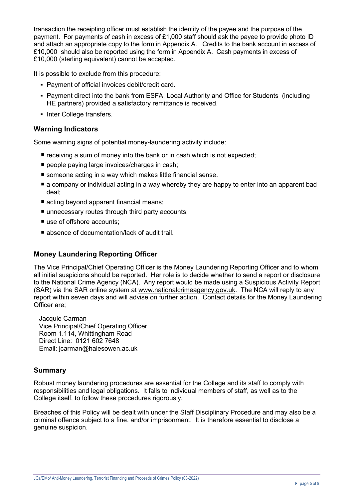transaction the receipting officer must establish the identity of the payee and the purpose of the payment. For payments of cash in excess of £1,000 staff should ask the payee to provide photo ID and attach an appropriate copy to the form in Appendix A. Credits to the bank account in excess of £10,000 should also be reported using the form in Appendix A. Cash payments in excess of £10,000 (sterling equivalent) cannot be accepted.

It is possible to exclude from this procedure:

- § Payment of official invoices debit/credit card.
- Payment direct into the bank from ESFA, Local Authority and Office for Students (including HE partners) provided a satisfactory remittance is received.
- Inter College transfers.

#### **Warning Indicators**

Some warning signs of potential money-laundering activity include:

- $\blacksquare$  receiving a sum of money into the bank or in cash which is not expected;
- people paying large invoices/charges in cash;
- someone acting in a way which makes little financial sense.
- **E** a company or individual acting in a way whereby they are happy to enter into an apparent bad deal;
- acting beyond apparent financial means;
- unnecessary routes through third party accounts;
- use of offshore accounts:
- absence of documentation/lack of audit trail.

## **Money Laundering Reporting Officer**

The Vice Principal/Chief Operating Officer is the Money Laundering Reporting Officer and to whom all initial suspicions should be reported. Her role is to decide whether to send a report or disclosure to the National Crime Agency (NCA). Any report would be made using a Suspicious Activity Report (SAR) via the SAR online system at www.nationalcrimeagency.gov.uk. The NCA will reply to any report within seven days and will advise on further action. Contact details for the Money Laundering Officer are;

Jacquie Carman Vice Principal/Chief Operating Officer Room 1.114, Whittingham Road Direct Line: 0121 602 7648 Email: jcarman@halesowen.ac.uk

#### **Summary**

Robust money laundering procedures are essential for the College and its staff to comply with responsibilities and legal obligations. It falls to individual members of staff, as well as to the College itself, to follow these procedures rigorously.

Breaches of this Policy will be dealt with under the Staff Disciplinary Procedure and may also be a criminal offence subject to a fine, and/or imprisonment. It is therefore essential to disclose a genuine suspicion.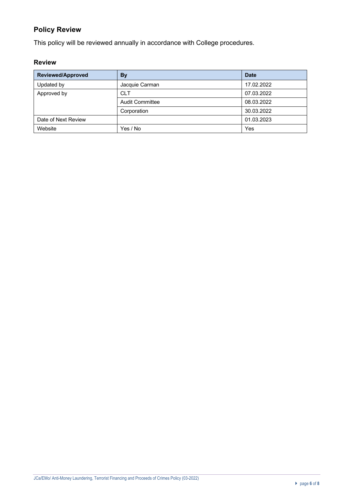## **Policy Review**

This policy will be reviewed annually in accordance with College procedures.

### **Review**

| <b>Reviewed/Approved</b> | <b>By</b>              | <b>Date</b> |
|--------------------------|------------------------|-------------|
| Updated by               | Jacquie Carman         | 17.02.2022  |
| Approved by              | <b>CLT</b>             | 07.03.2022  |
|                          | <b>Audit Committee</b> | 08.03.2022  |
|                          | Corporation            | 30.03.2022  |
| Date of Next Review      |                        | 01.03.2023  |
| Website                  | Yes / No               | Yes         |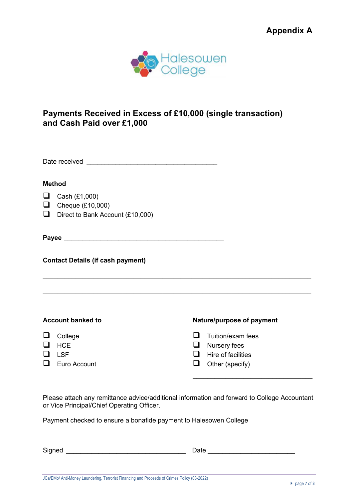

# **Payments Received in Excess of £10,000 (single transaction) and Cash Paid over £1,000**

Date received \_\_\_\_\_\_\_\_\_\_\_\_\_\_\_\_\_\_\_\_\_\_\_\_\_\_\_\_\_\_\_\_\_\_\_\_

#### **Method**

- Cash (£1,000)
- $\Box$  Cheque (£10,000)
- $\Box$  Direct to Bank Account (£10,000)

**Payee Payee** 

**Contact Details (if cash payment)** 

- 
- 
- 
- 

#### Account banked to **Nature/purpose of payment**

\_\_\_\_\_\_\_\_\_\_\_\_\_\_\_\_\_\_\_\_\_\_\_\_\_\_\_\_\_\_\_\_\_

- $\Box$  College  $\Box$  Tuition/exam fees
- $\Box$  HCE  $\Box$  Nursery fees
- $\Box$  LSF  $\Box$  Hire of facilities
- $\Box$  Euro Account  $\Box$  Other (specify)

Please attach any remittance advice/additional information and forward to College Accountant or Vice Principal/Chief Operating Officer.

 $\_$ 

 $\_$ 

Payment checked to ensure a bonafide payment to Halesowen College

Signed \_\_\_\_\_\_\_\_\_\_\_\_\_\_\_\_\_\_\_\_\_\_\_\_\_\_\_\_\_\_\_\_\_ Date \_\_\_\_\_\_\_\_\_\_\_\_\_\_\_\_\_\_\_\_\_\_\_\_